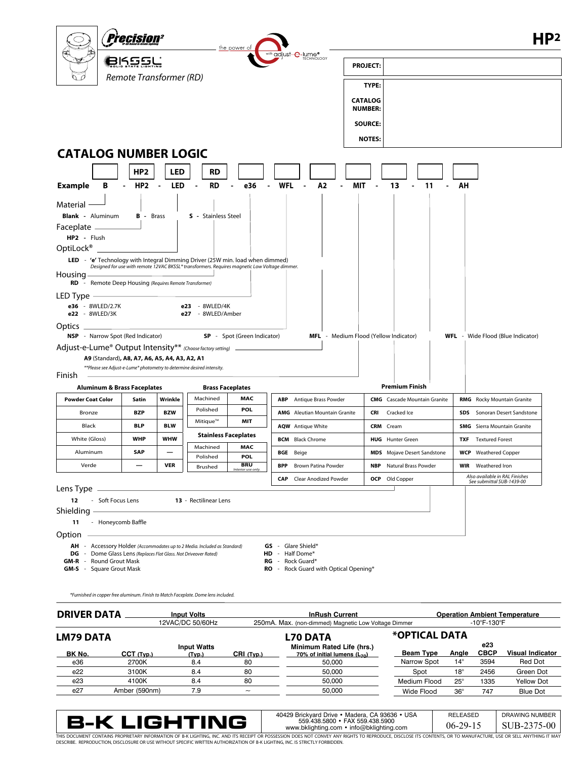|                                                                          | <b>Precision</b> <sup>2</sup>     |                      | the power of                                                                                  | with adjust-e-lume®                  |                                        |                                     | IP2                                                         |
|--------------------------------------------------------------------------|-----------------------------------|----------------------|-----------------------------------------------------------------------------------------------|--------------------------------------|----------------------------------------|-------------------------------------|-------------------------------------------------------------|
|                                                                          | 1655                              |                      |                                                                                               |                                      | <b>PROJECT:</b>                        |                                     |                                                             |
|                                                                          | Remote Transformer (RD)           |                      |                                                                                               |                                      | TYPE:                                  |                                     |                                                             |
|                                                                          |                                   |                      |                                                                                               |                                      |                                        |                                     |                                                             |
|                                                                          |                                   |                      |                                                                                               |                                      | <b>CATALOG</b><br><b>NUMBER:</b>       |                                     |                                                             |
|                                                                          |                                   |                      |                                                                                               |                                      | <b>SOURCE:</b>                         |                                     |                                                             |
|                                                                          |                                   |                      |                                                                                               |                                      | <b>NOTES:</b>                          |                                     |                                                             |
| <b>CATALOG NUMBER LOGIC</b>                                              |                                   |                      |                                                                                               |                                      |                                        |                                     |                                                             |
|                                                                          | HP <sub>2</sub>                   | <b>LED</b>           | RD                                                                                            |                                      |                                        |                                     |                                                             |
| <b>Example</b><br>В                                                      | HP <sub>2</sub><br>$\blacksquare$ | <b>LED</b><br>$\sim$ | <b>RD</b><br>e36<br>$\sim$<br>$\sim$                                                          | <b>WFL</b><br>A2<br>$\sim$<br>$\sim$ | <b>MIT</b><br>$\sim$<br>$\blacksquare$ | 13<br>$\sim$ $-$<br>11<br>$\sim$    | AH                                                          |
| Material -                                                               |                                   |                      |                                                                                               |                                      |                                        |                                     |                                                             |
| <b>Blank - Aluminum</b>                                                  | <b>B</b> - Brass                  |                      | <b>S</b> - Stainless Steel                                                                    |                                      |                                        |                                     |                                                             |
| Faceplate —                                                              |                                   |                      |                                                                                               |                                      |                                        |                                     |                                                             |
| HP2 - Flush                                                              |                                   |                      |                                                                                               |                                      |                                        |                                     |                                                             |
| OptiLock®                                                                |                                   |                      |                                                                                               |                                      |                                        |                                     |                                                             |
|                                                                          |                                   |                      | LED - 'e' Technology with Integral Dimming Driver (25W min. load when dimmed)                 |                                      |                                        |                                     |                                                             |
| Housing-<br>RD - Remote Deep Housing (Requires Remote Transformer)       |                                   |                      | Designed for use with remote 12VAC BKSSL® transformers. Requires magnetic Low Voltage dimmer. |                                      |                                        |                                     |                                                             |
|                                                                          |                                   |                      |                                                                                               |                                      |                                        |                                     |                                                             |
|                                                                          |                                   |                      |                                                                                               |                                      |                                        |                                     |                                                             |
|                                                                          |                                   |                      | e23 - 8WLED/4K                                                                                |                                      |                                        |                                     |                                                             |
| e36 - 8WLED/2.7K<br>e22 - 8WLED/3K                                       |                                   |                      | e27 - 8WLED/Amber                                                                             |                                      |                                        |                                     |                                                             |
|                                                                          |                                   |                      |                                                                                               |                                      |                                        |                                     |                                                             |
| <b>NSP</b> - Narrow Spot (Red Indicator)                                 |                                   |                      | SP - Spot (Green Indicator)                                                                   |                                      | MFL - Medium Flood (Yellow Indicator)  |                                     | <b>WFL</b> - Wide Flood (Blue Indicator)                    |
|                                                                          |                                   |                      | Adjust-e-Lume® Output Intensity** (Choose factory setting) _____________________              |                                      |                                        |                                     |                                                             |
| A9 (Standard), A8, A7, A6, A5, A4, A3, A2, A1                            |                                   |                      |                                                                                               |                                      |                                        |                                     |                                                             |
| **Please see Adjust-e-Lume® photometry to determine desired intensity.   |                                   |                      |                                                                                               |                                      |                                        |                                     |                                                             |
| <b>Aluminum &amp; Brass Faceplates</b>                                   |                                   |                      | <b>Brass Faceplates</b>                                                                       |                                      |                                        | <b>Premium Finish</b>               |                                                             |
|                                                                          | Satin                             | Wrinkle              | Machined<br>MAC                                                                               | <b>ABP</b> Antique Brass Powder      |                                        | <b>CMG</b> Cascade Mountain Granite | <b>RMG</b> Rocky Mountain Granite                           |
| Bronze                                                                   | <b>BZP</b>                        | <b>BZW</b>           | <b>POL</b><br>Polished                                                                        | <b>AMG</b> Aleutian Mountain Granite | CRI                                    | Cracked Ice                         | <b>SDS</b> Sonoran Desert Sandstone                         |
| Black                                                                    | <b>BLP</b>                        | <b>BLW</b>           | Mitique™<br>MIT                                                                               | <b>AQW</b> Antique White             |                                        | <b>CRM</b> Cream                    | <b>SMG</b> Sierra Mountain Granite                          |
| White (Gloss)                                                            | <b>WHP</b>                        | <b>WHW</b>           | <b>Stainless Faceplates</b>                                                                   | <b>BCM</b> Black Chrome              |                                        | <b>HUG</b> Hunter Green             | <b>TXF</b> Textured Forest                                  |
| Aluminum                                                                 | <b>SAP</b>                        |                      | Machined<br>MAC                                                                               |                                      |                                        |                                     |                                                             |
|                                                                          |                                   |                      | <b>POL</b><br>Polished                                                                        | <b>BGE</b> Beige                     |                                        | <b>MDS</b> Mojave Desert Sandstone  | <b>WCP</b> Weathered Copper                                 |
| <b>Powder Coat Color</b><br>Verde                                        |                                   | <b>VER</b>           | <b>BRU</b><br>Brushed<br>Interior use only                                                    | <b>BPP</b><br>Brown Patina Powder    |                                        | <b>NBP</b> Natural Brass Powder     | <b>WIR</b> Weathered Iron<br>Also available in RAL Finishes |
|                                                                          |                                   |                      |                                                                                               | <b>CAP</b> Clear Anodized Powder     |                                        | OCP Old Copper                      | See submittal SUB-1439-00                                   |
| 12<br>- Soft Focus Lens                                                  |                                   |                      | 13 - Rectilinear Lens                                                                         |                                      |                                        |                                     |                                                             |
| - Honeycomb Baffle<br>11                                                 |                                   |                      |                                                                                               |                                      |                                        |                                     |                                                             |
| $LED$ Type $-$<br>Finish<br>Lens Type $-$<br>Shielding $-$<br>Option $-$ |                                   |                      |                                                                                               |                                      |                                        |                                     |                                                             |
|                                                                          |                                   |                      | AH - Accessory Holder (Accommodates up to 2 Media. Included as Standard)                      | GS - Glare Shield*                   |                                        |                                     |                                                             |

 *\*Furnished in copper free aluminum. Finish to Match Faceplate. Dome lens included.*

| <b>DRIVER DATA</b><br><b>Input Volts</b><br>12VAC/DC 50/60Hz<br><b>LM79 DATA</b> |               |                              | <b>InRush Current</b><br>250mA. Max. (non-dimmed) Magnetic Low Voltage Dimmer |                                                               |                  | <b>Operation Ambient Temperature</b><br>$-10^{\circ}$ F-130 $^{\circ}$ F |                    |                         |
|----------------------------------------------------------------------------------|---------------|------------------------------|-------------------------------------------------------------------------------|---------------------------------------------------------------|------------------|--------------------------------------------------------------------------|--------------------|-------------------------|
|                                                                                  |               | L70 DATA                     |                                                                               | *OPTICAL DATA                                                 |                  |                                                                          |                    |                         |
| BK No.                                                                           | $CCT$ (Typ.)  | <b>Input Watts</b><br>(Typ.) | CRI (Typ.)                                                                    | Minimum Rated Life (hrs.)<br>70% of initial lumens $(L_{70})$ | <b>Beam Type</b> | Anale                                                                    | e23<br><b>CBCP</b> | <b>Visual Indicator</b> |
| e36                                                                              | 2700K         | 8.4                          | 80                                                                            | 50.000                                                        | Narrow Spot      | $14^{\circ}$                                                             | 3594               | <b>Red Dot</b>          |
| e22                                                                              | 3100K         | 8.4                          | 80                                                                            | 50,000                                                        | Spot             | $18^\circ$                                                               | 2456               | Green Dot               |
| e23                                                                              | 4100K         | 8.4                          | 80                                                                            | 50,000                                                        | Medium Flood     | $25^\circ$                                                               | 1335               | <b>Yellow Dot</b>       |
| e27                                                                              | Amber (590nm) | 7.9                          | $\widetilde{\phantom{m}}$                                                     | 50.000                                                        | Wide Flood       | 36 <sup>°</sup>                                                          | 747                | <b>Blue Dot</b>         |
|                                                                                  |               |                              |                                                                               |                                                               |                  |                                                                          |                    |                         |



| . .                                                                                                                                        | 40429 Brickvard Drive • Madera, CA 93636 • USA<br>559.438.5800 · FAX 559.438.5900 | <b>RELEASED</b> | DRAWING NUMBER |  |
|--------------------------------------------------------------------------------------------------------------------------------------------|-----------------------------------------------------------------------------------|-----------------|----------------|--|
|                                                                                                                                            | www.bklighting.com • info@bklighting.com                                          | $06-29-15$      | SUB-2375-00    |  |
| ) ITS RECEIPT OR POSSESSION DOES NOT CONVEY ANY RIGHTS TO REPRODUCE, DISCLOSE ITS CONTENTS, OR TO MANUFACTURE, USE OR SELL ANYTHING IT MAY |                                                                                   |                 |                |  |

THIS DOCUMENT CONTAINS PROPRIETARY INFORMATION OF B-K LIGHTING, INC. AND ITS RECEIPT OR POSSESSION DOES NOT CONVEY ANY RIGHTS TO REPRODUCE, DISCLOSE ITS CONTENTS, OR TO MANUFACTURE, USE OR SELL ANYTHING IT MAY<br>DESCRIBE. RE